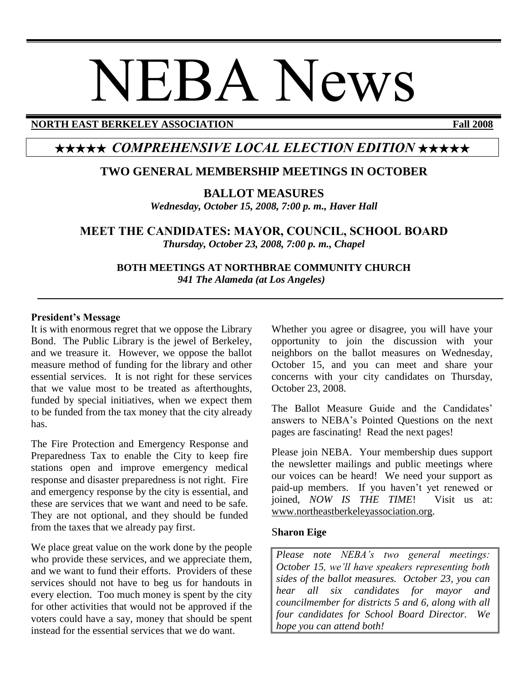# NEBA News

#### **NORTH EAST BERKELEY ASSOCIATION Fall 2008**

# ★★★★★ *COMPREHENSIVE LOCAL ELECTION EDITION* ★★★★★

# **TWO GENERAL MEMBERSHIP MEETINGS IN OCTOBER**

**BALLOT MEASURES**

*Wednesday, October 15, 2008, 7:00 p. m., Haver Hall*

**MEET THE CANDIDATES: MAYOR, COUNCIL, SCHOOL BOARD** *Thursday, October 23, 2008, 7:00 p. m., Chapel*

> **BOTH MEETINGS AT NORTHBRAE COMMUNITY CHURCH** *941 The Alameda (at Los Angeles)*

#### **President's Message**

It is with enormous regret that we oppose the Library Bond. The Public Library is the jewel of Berkeley, and we treasure it. However, we oppose the ballot measure method of funding for the library and other essential services. It is not right for these services that we value most to be treated as afterthoughts, funded by special initiatives, when we expect them to be funded from the tax money that the city already has.

The Fire Protection and Emergency Response and Preparedness Tax to enable the City to keep fire stations open and improve emergency medical response and disaster preparedness is not right. Fire and emergency response by the city is essential, and these are services that we want and need to be safe. They are not optional, and they should be funded from the taxes that we already pay first.

We place great value on the work done by the people who provide these services, and we appreciate them, and we want to fund their efforts. Providers of these services should not have to beg us for handouts in every election. Too much money is spent by the city for other activities that would not be approved if the voters could have a say, money that should be spent instead for the essential services that we do want.

Whether you agree or disagree, you will have your opportunity to join the discussion with your neighbors on the ballot measures on Wednesday, October 15, and you can meet and share your concerns with your city candidates on Thursday, October 23, 2008.

The Ballot Measure Guide and the Candidates' answers to NEBA's Pointed Questions on the next pages are fascinating! Read the next pages!

Please join NEBA. Your membership dues support the newsletter mailings and public meetings where our voices can be heard! We need your support as paid-up members. If you haven't yet renewed or joined, *NOW IS THE TIME*! Visit us at: www.northeastberkeleyassociation.org.

#### S**haron Eige**

*Please note NEBA's two general meetings: October 15, we'll have speakers representing both sides of the ballot measures. October 23, you can hear all six candidates for mayor and councilmember for districts 5 and 6, along with all four candidates for School Board Director. We hope you can attend both!*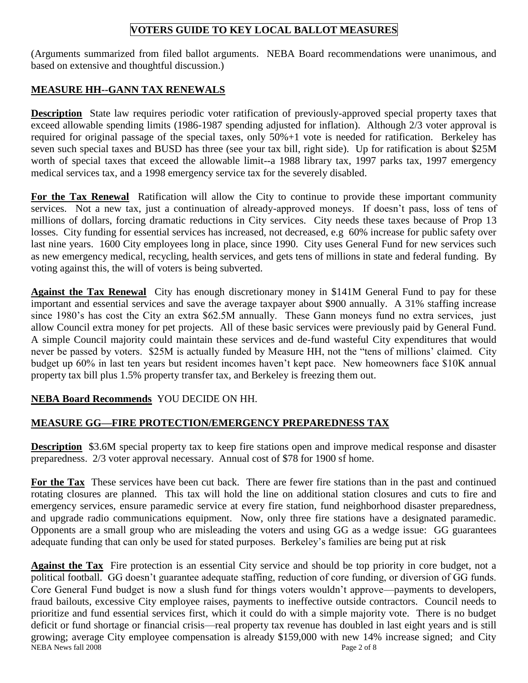# **VOTERS GUIDE TO KEY LOCAL BALLOT MEASURES**

(Arguments summarized from filed ballot arguments. NEBA Board recommendations were unanimous, and based on extensive and thoughtful discussion.)

### **MEASURE HH--GANN TAX RENEWALS**

**Description** State law requires periodic voter ratification of previously-approved special property taxes that exceed allowable spending limits (1986-1987 spending adjusted for inflation). Although 2/3 voter approval is required for original passage of the special taxes, only 50%+1 vote is needed for ratification. Berkeley has seven such special taxes and BUSD has three (see your tax bill, right side). Up for ratification is about \$25M worth of special taxes that exceed the allowable limit--a 1988 library tax, 1997 parks tax, 1997 emergency medical services tax, and a 1998 emergency service tax for the severely disabled.

**For the Tax Renewal** Ratification will allow the City to continue to provide these important community services. Not a new tax, just a continuation of already-approved moneys. If doesn't pass, loss of tens of millions of dollars, forcing dramatic reductions in City services. City needs these taxes because of Prop 13 losses. City funding for essential services has increased, not decreased, e.g 60% increase for public safety over last nine years. 1600 City employees long in place, since 1990. City uses General Fund for new services such as new emergency medical, recycling, health services, and gets tens of millions in state and federal funding. By voting against this, the will of voters is being subverted.

**Against the Tax Renewal** City has enough discretionary money in \$141M General Fund to pay for these important and essential services and save the average taxpayer about \$900 annually. A 31% staffing increase since 1980's has cost the City an extra \$62.5M annually. These Gann moneys fund no extra services, just allow Council extra money for pet projects. All of these basic services were previously paid by General Fund. A simple Council majority could maintain these services and de-fund wasteful City expenditures that would never be passed by voters. \$25M is actually funded by Measure HH, not the "tens of millions' claimed. City budget up 60% in last ten years but resident incomes haven't kept pace. New homeowners face \$10K annual property tax bill plus 1.5% property transfer tax, and Berkeley is freezing them out.

# **NEBA Board Recommends** YOU DECIDE ON HH.

# **MEASURE GG—FIRE PROTECTION/EMERGENCY PREPAREDNESS TAX**

**Description** \$3.6M special property tax to keep fire stations open and improve medical response and disaster preparedness. 2/3 voter approval necessary. Annual cost of \$78 for 1900 sf home.

**For the Tax** These services have been cut back. There are fewer fire stations than in the past and continued rotating closures are planned. This tax will hold the line on additional station closures and cuts to fire and emergency services, ensure paramedic service at every fire station, fund neighborhood disaster preparedness, and upgrade radio communications equipment. Now, only three fire stations have a designated paramedic. Opponents are a small group who are misleading the voters and using GG as a wedge issue: GG guarantees adequate funding that can only be used for stated purposes. Berkeley's families are being put at risk

NEBA News fall 2008 Page 2 of 8 **Against the Tax** Fire protection is an essential City service and should be top priority in core budget, not a political football. GG doesn't guarantee adequate staffing, reduction of core funding, or diversion of GG funds. Core General Fund budget is now a slush fund for things voters wouldn't approve—payments to developers, fraud bailouts, excessive City employee raises, payments to ineffective outside contractors. Council needs to prioritize and fund essential services first, which it could do with a simple majority vote. There is no budget deficit or fund shortage or financial crisis—real property tax revenue has doubled in last eight years and is still growing; average City employee compensation is already \$159,000 with new 14% increase signed; and City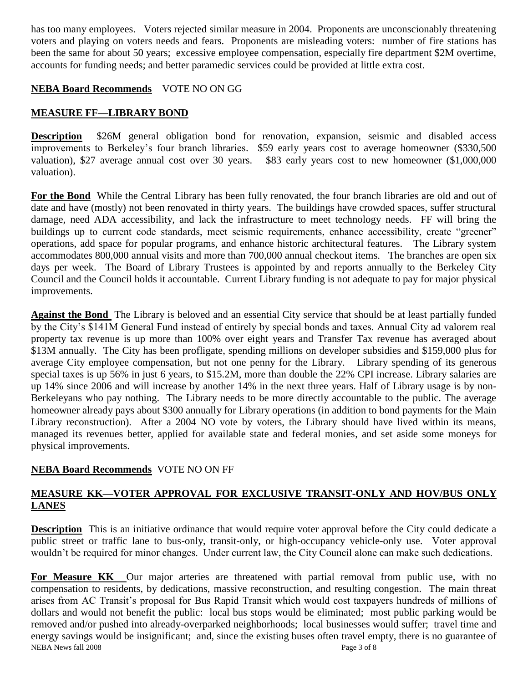has too many employees. Voters rejected similar measure in 2004. Proponents are unconscionably threatening voters and playing on voters needs and fears. Proponents are misleading voters: number of fire stations has been the same for about 50 years; excessive employee compensation, especially fire department \$2M overtime, accounts for funding needs; and better paramedic services could be provided at little extra cost.

#### **NEBA Board Recommends** VOTE NO ON GG

#### **MEASURE FF—LIBRARY BOND**

**Description** \$26M general obligation bond for renovation, expansion, seismic and disabled access improvements to Berkeley's four branch libraries. \$59 early years cost to average homeowner (\$330,500 valuation), \$27 average annual cost over 30 years. \$83 early years cost to new homeowner (\$1,000,000 valuation).

**For the Bond** While the Central Library has been fully renovated, the four branch libraries are old and out of date and have (mostly) not been renovated in thirty years. The buildings have crowded spaces, suffer structural damage, need ADA accessibility, and lack the infrastructure to meet technology needs. FF will bring the buildings up to current code standards, meet seismic requirements, enhance accessibility, create "greener" operations, add space for popular programs, and enhance historic architectural features. The Library system accommodates 800,000 annual visits and more than 700,000 annual checkout items. The branches are open six days per week. The Board of Library Trustees is appointed by and reports annually to the Berkeley City Council and the Council holds it accountable. Current Library funding is not adequate to pay for major physical improvements.

**Against the Bond** The Library is beloved and an essential City service that should be at least partially funded by the City's \$141M General Fund instead of entirely by special bonds and taxes. Annual City ad valorem real property tax revenue is up more than 100% over eight years and Transfer Tax revenue has averaged about \$13M annually. The City has been profligate, spending millions on developer subsidies and \$159,000 plus for average City employee compensation, but not one penny for the Library. Library spending of its generous special taxes is up 56% in just 6 years, to \$15.2M, more than double the 22% CPI increase. Library salaries are up 14% since 2006 and will increase by another 14% in the next three years. Half of Library usage is by non-Berkeleyans who pay nothing. The Library needs to be more directly accountable to the public. The average homeowner already pays about \$300 annually for Library operations (in addition to bond payments for the Main Library reconstruction). After a 2004 NO vote by voters, the Library should have lived within its means, managed its revenues better, applied for available state and federal monies, and set aside some moneys for physical improvements.

# **NEBA Board Recommends** VOTE NO ON FF

#### **MEASURE KK—VOTER APPROVAL FOR EXCLUSIVE TRANSIT-ONLY AND HOV/BUS ONLY LANES**

**Description** This is an initiative ordinance that would require voter approval before the City could dedicate a public street or traffic lane to bus-only, transit-only, or high-occupancy vehicle-only use. Voter approval wouldn't be required for minor changes. Under current law, the City Council alone can make such dedications.

NEBA News fall 2008 Page 3 of 8 **For Measure KK** Our major arteries are threatened with partial removal from public use, with no compensation to residents, by dedications, massive reconstruction, and resulting congestion. The main threat arises from AC Transit's proposal for Bus Rapid Transit which would cost taxpayers hundreds of millions of dollars and would not benefit the public: local bus stops would be eliminated; most public parking would be removed and/or pushed into already-overparked neighborhoods; local businesses would suffer; travel time and energy savings would be insignificant; and, since the existing buses often travel empty, there is no guarantee of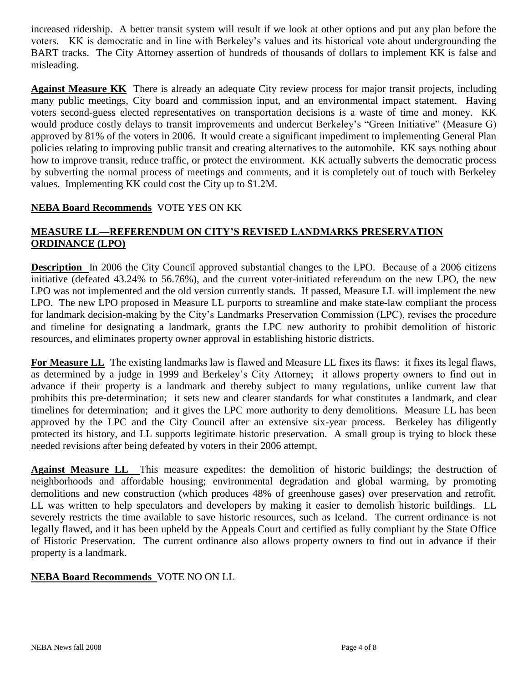increased ridership. A better transit system will result if we look at other options and put any plan before the voters. KK is democratic and in line with Berkeley's values and its historical vote about undergrounding the BART tracks. The City Attorney assertion of hundreds of thousands of dollars to implement KK is false and misleading.

**Against Measure KK** There is already an adequate City review process for major transit projects, including many public meetings, City board and commission input, and an environmental impact statement. Having voters second-guess elected representatives on transportation decisions is a waste of time and money. KK would produce costly delays to transit improvements and undercut Berkeley's "Green Initiative" (Measure G) approved by 81% of the voters in 2006. It would create a significant impediment to implementing General Plan policies relating to improving public transit and creating alternatives to the automobile. KK says nothing about how to improve transit, reduce traffic, or protect the environment. KK actually subverts the democratic process by subverting the normal process of meetings and comments, and it is completely out of touch with Berkeley values. Implementing KK could cost the City up to \$1.2M.

#### **NEBA Board Recommends** VOTE YES ON KK

#### **MEASURE LL—REFERENDUM ON CITY'S REVISED LANDMARKS PRESERVATION ORDINANCE (LPO)**

**Description** In 2006 the City Council approved substantial changes to the LPO. Because of a 2006 citizens initiative (defeated 43.24% to 56.76%), and the current voter-initiated referendum on the new LPO, the new LPO was not implemented and the old version currently stands. If passed, Measure LL will implement the new LPO. The new LPO proposed in Measure LL purports to streamline and make state-law compliant the process for landmark decision-making by the City's Landmarks Preservation Commission (LPC), revises the procedure and timeline for designating a landmark, grants the LPC new authority to prohibit demolition of historic resources, and eliminates property owner approval in establishing historic districts.

For Measure LL The existing landmarks law is flawed and Measure LL fixes its flaws: it fixes its legal flaws, as determined by a judge in 1999 and Berkeley's City Attorney; it allows property owners to find out in advance if their property is a landmark and thereby subject to many regulations, unlike current law that prohibits this pre-determination; it sets new and clearer standards for what constitutes a landmark, and clear timelines for determination; and it gives the LPC more authority to deny demolitions. Measure LL has been approved by the LPC and the City Council after an extensive six-year process. Berkeley has diligently protected its history, and LL supports legitimate historic preservation. A small group is trying to block these needed revisions after being defeated by voters in their 2006 attempt.

**Against Measure LL** This measure expedites: the demolition of historic buildings; the destruction of neighborhoods and affordable housing; environmental degradation and global warming, by promoting demolitions and new construction (which produces 48% of greenhouse gases) over preservation and retrofit. LL was written to help speculators and developers by making it easier to demolish historic buildings. LL severely restricts the time available to save historic resources, such as Iceland. The current ordinance is not legally flawed, and it has been upheld by the Appeals Court and certified as fully compliant by the State Office of Historic Preservation. The current ordinance also allows property owners to find out in advance if their property is a landmark.

#### **NEBA Board Recommends** VOTE NO ON LL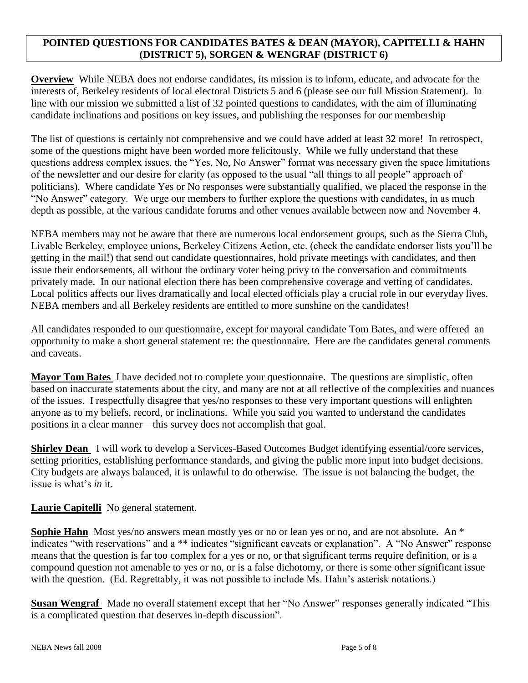#### **POINTED QUESTIONS FOR CANDIDATES BATES & DEAN (MAYOR), CAPITELLI & HAHN (DISTRICT 5), SORGEN & WENGRAF (DISTRICT 6)**

**Overview** While NEBA does not endorse candidates, its mission is to inform, educate, and advocate for the interests of, Berkeley residents of local electoral Districts 5 and 6 (please see our full Mission Statement). In line with our mission we submitted a list of 32 pointed questions to candidates, with the aim of illuminating candidate inclinations and positions on key issues, and publishing the responses for our membership

The list of questions is certainly not comprehensive and we could have added at least 32 more! In retrospect, some of the questions might have been worded more felicitously. While we fully understand that these questions address complex issues, the "Yes, No, No Answer" format was necessary given the space limitations of the newsletter and our desire for clarity (as opposed to the usual "all things to all people" approach of politicians). Where candidate Yes or No responses were substantially qualified, we placed the response in the "No Answer" category. We urge our members to further explore the questions with candidates, in as much depth as possible, at the various candidate forums and other venues available between now and November 4.

NEBA members may not be aware that there are numerous local endorsement groups, such as the Sierra Club, Livable Berkeley, employee unions, Berkeley Citizens Action, etc. (check the candidate endorser lists you'll be getting in the mail!) that send out candidate questionnaires, hold private meetings with candidates, and then issue their endorsements, all without the ordinary voter being privy to the conversation and commitments privately made. In our national election there has been comprehensive coverage and vetting of candidates. Local politics affects our lives dramatically and local elected officials play a crucial role in our everyday lives. NEBA members and all Berkeley residents are entitled to more sunshine on the candidates!

All candidates responded to our questionnaire, except for mayoral candidate Tom Bates, and were offered an opportunity to make a short general statement re: the questionnaire. Here are the candidates general comments and caveats.

**Mayor Tom Bates** I have decided not to complete your questionnaire. The questions are simplistic, often based on inaccurate statements about the city, and many are not at all reflective of the complexities and nuances of the issues. I respectfully disagree that yes/no responses to these very important questions will enlighten anyone as to my beliefs, record, or inclinations. While you said you wanted to understand the candidates positions in a clear manner—this survey does not accomplish that goal.

**Shirley Dean** I will work to develop a Services-Based Outcomes Budget identifying essential/core services, setting priorities, establishing performance standards, and giving the public more input into budget decisions. City budgets are always balanced, it is unlawful to do otherwise. The issue is not balancing the budget, the issue is what's *in* it.

**Laurie Capitelli** No general statement.

**Sophie Hahn** Most yes/no answers mean mostly yes or no or lean yes or no, and are not absolute. An \* indicates "with reservations" and a \*\* indicates "significant caveats or explanation". A "No Answer" response means that the question is far too complex for a yes or no, or that significant terms require definition, or is a compound question not amenable to yes or no, or is a false dichotomy, or there is some other significant issue with the question. (Ed. Regrettably, it was not possible to include Ms. Hahn's asterisk notations.)

**Susan Wengraf** Made no overall statement except that her "No Answer" responses generally indicated "This is a complicated question that deserves in-depth discussion".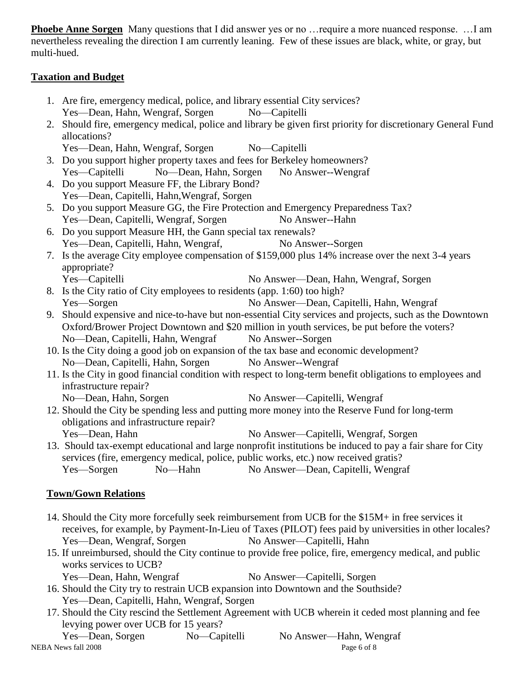**Phoebe Anne Sorgen** Many questions that I did answer yes or no …require a more nuanced response. …I am nevertheless revealing the direction I am currently leaning. Few of these issues are black, white, or gray, but multi-hued.

#### **Taxation and Budget**

|                                                        | 1. Are fire, emergency medical, police, and library essential City services?                                 |  |  |  |  |
|--------------------------------------------------------|--------------------------------------------------------------------------------------------------------------|--|--|--|--|
|                                                        | Yes—Dean, Hahn, Wengraf, Sorgen<br>$No$ —Capitelli                                                           |  |  |  |  |
|                                                        | 2. Should fire, emergency medical, police and library be given first priority for discretionary General Fund |  |  |  |  |
|                                                        | allocations?                                                                                                 |  |  |  |  |
|                                                        | Yes-Dean, Hahn, Wengraf, Sorgen No-Capitelli                                                                 |  |  |  |  |
|                                                        | 3. Do you support higher property taxes and fees for Berkeley homeowners?                                    |  |  |  |  |
| Yes-Capitelli No-Dean, Hahn, Sorgen No Answer--Wengraf |                                                                                                              |  |  |  |  |
|                                                        | 4. Do you support Measure FF, the Library Bond?                                                              |  |  |  |  |
|                                                        | Yes-Dean, Capitelli, Hahn, Wengraf, Sorgen                                                                   |  |  |  |  |
|                                                        | 5. Do you support Measure GG, the Fire Protection and Emergency Preparedness Tax?                            |  |  |  |  |
|                                                        | Yes-Dean, Capitelli, Wengraf, Sorgen<br>No Answer--Hahn                                                      |  |  |  |  |
|                                                        | 6. Do you support Measure HH, the Gann special tax renewals?                                                 |  |  |  |  |
|                                                        | Yes—Dean, Capitelli, Hahn, Wengraf,<br>No Answer--Sorgen                                                     |  |  |  |  |
|                                                        | 7. Is the average City employee compensation of \$159,000 plus 14% increase over the next 3-4 years          |  |  |  |  |
|                                                        | appropriate?                                                                                                 |  |  |  |  |
|                                                        | Yes-Capitelli<br>No Answer—Dean, Hahn, Wengraf, Sorgen                                                       |  |  |  |  |
|                                                        | 8. Is the City ratio of City employees to residents (app. 1:60) too high?                                    |  |  |  |  |
|                                                        | Yes-Sorgen<br>No Answer—Dean, Capitelli, Hahn, Wengraf                                                       |  |  |  |  |
|                                                        | 9. Should expensive and nice-to-have but non-essential City services and projects, such as the Downtown      |  |  |  |  |
|                                                        | Oxford/Brower Project Downtown and \$20 million in youth services, be put before the voters?                 |  |  |  |  |
|                                                        | No-Dean, Capitelli, Hahn, Wengraf<br>No Answer--Sorgen                                                       |  |  |  |  |
|                                                        | 10. Is the City doing a good job on expansion of the tax base and economic development?                      |  |  |  |  |
|                                                        | No-Dean, Capitelli, Hahn, Sorgen No Answer--Wengraf                                                          |  |  |  |  |
|                                                        | 11. Is the City in good financial condition with respect to long-term benefit obligations to employees and   |  |  |  |  |
|                                                        | infrastructure repair?                                                                                       |  |  |  |  |
|                                                        | No-Dean, Hahn, Sorgen<br>No Answer—Capitelli, Wengraf                                                        |  |  |  |  |
|                                                        | 12. Should the City be spending less and putting more money into the Reserve Fund for long-term              |  |  |  |  |
|                                                        | obligations and infrastructure repair?                                                                       |  |  |  |  |
|                                                        | No Answer—Capitelli, Wengraf, Sorgen<br>Yes-Dean, Hahn                                                       |  |  |  |  |
|                                                        | 13. Should tax-exempt educational and large nonprofit institutions be induced to pay a fair share for City   |  |  |  |  |
|                                                        | services (fire, emergency medical, police, public works, etc.) now received gratis?                          |  |  |  |  |
|                                                        | Yes—Sorgen No—Hahn No Answer—Dean, Capitelli, Wengraf                                                        |  |  |  |  |
|                                                        |                                                                                                              |  |  |  |  |
| <b>Town/Gown Relations</b>                             |                                                                                                              |  |  |  |  |
|                                                        |                                                                                                              |  |  |  |  |
|                                                        | 14. Should the City more forcefully seek reimbursement from UCB for the \$15M+ in free services it           |  |  |  |  |
|                                                        | receives, for example, by Payment-In-Lieu of Taxes (PILOT) fees paid by universities in other locales?       |  |  |  |  |
|                                                        | Yes-Dean, Wengraf, Sorgen<br>No Answer—Capitelli, Hahn                                                       |  |  |  |  |

- 15. If unreimbursed, should the City continue to provide free police, fire, emergency medical, and public works services to UCB? Yes—Dean, Hahn, Wengraf No Answer—Capitelli, Sorgen
- 16. Should the City try to restrain UCB expansion into Downtown and the Southside? Yes—Dean, Capitelli, Hahn, Wengraf, Sorgen
- 17. Should the City rescind the Settlement Agreement with UCB wherein it ceded most planning and fee levying power over UCB for 15 years?

NEBA News fall 2008 Page 6 of 8 Yes—Dean, Sorgen No—Capitelli No Answer—Hahn, Wengraf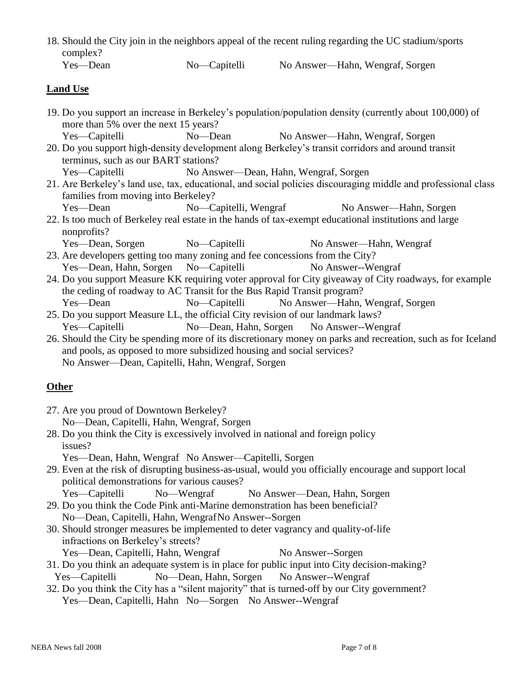|          |              | 18. Should the City join in the neighbors appeal of the recent ruling regarding the UC stadium/sports |
|----------|--------------|-------------------------------------------------------------------------------------------------------|
| complex? |              |                                                                                                       |
| Yes—Dean | No—Capitelli | No Answer—Hahn, Wengraf, Sorgen                                                                       |

| <b>Land Use</b> |  |
|-----------------|--|

- 19. Do you support an increase in Berkeley's population/population density (currently about 100,000) of more than 5% over the next 15 years? Yes—Capitelli No—Dean No Answer—Hahn, Wengraf, Sorgen
- 20. Do you support high-density development along Berkeley's transit corridors and around transit terminus, such as our BART stations?

Yes—Capitelli No Answer—Dean, Hahn, Wengraf, Sorgen

- 21. Are Berkeley's land use, tax, educational, and social policies discouraging middle and professional class families from moving into Berkeley?
- Yes—Dean No—Capitelli, Wengraf No Answer—Hahn, Sorgen 22. Is too much of Berkeley real estate in the hands of tax-exempt educational institutions and large
	- nonprofits?
	- Yes—Dean, Sorgen No—Capitelli No Answer—Hahn, Wengraf
- 23. Are developers getting too many zoning and fee concessions from the City? Yes—Dean, Hahn, Sorgen No—Capitelli No Answer--Wengraf
- 24. Do you support Measure KK requiring voter approval for City giveaway of City roadways, for example the ceding of roadway to AC Transit for the Bus Rapid Transit program? Yes—Dean No—Capitelli No Answer—Hahn, Wengraf, Sorgen
- 25. Do you support Measure LL, the official City revision of our landmark laws? Yes—Capitelli No—Dean, Hahn, Sorgen No Answer--Wengraf
- 26. Should the City be spending more of its discretionary money on parks and recreation, such as for Iceland and pools, as opposed to more subsidized housing and social services? No Answer—Dean, Capitelli, Hahn, Wengraf, Sorgen

# **Other**

- 27. Are you proud of Downtown Berkeley? No—Dean, Capitelli, Hahn, Wengraf, Sorgen
- 28. Do you think the City is excessively involved in national and foreign policy issues?
	- Yes—Dean, Hahn, Wengraf No Answer—Capitelli, Sorgen
- 29. Even at the risk of disrupting business-as-usual, would you officially encourage and support local political demonstrations for various causes?
	- Yes—Capitelli No—Wengraf No Answer—Dean, Hahn, Sorgen
- 29. Do you think the Code Pink anti-Marine demonstration has been beneficial? No—Dean, Capitelli, Hahn, WengrafNo Answer--Sorgen
- 30. Should stronger measures be implemented to deter vagrancy and quality-of-life infractions on Berkeley's streets?
	- Yes—Dean, Capitelli, Hahn, Wengraf No Answer--Sorgen
- 31. Do you think an adequate system is in place for public input into City decision-making? Yes—Capitelli No—Dean, Hahn, Sorgen No Answer--Wengraf
- 32. Do you think the City has a "silent majority" that is turned-off by our City government? Yes—Dean, Capitelli, Hahn No—Sorgen No Answer--Wengraf